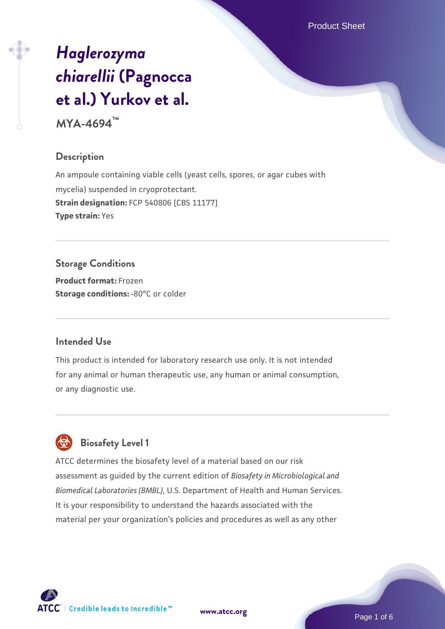Product Sheet

# *[Haglerozyma](https://www.atcc.org/products/mya-4694) [chiarellii](https://www.atcc.org/products/mya-4694)* **[\(Pagnocca](https://www.atcc.org/products/mya-4694) [et al.\) Yurkov et al.](https://www.atcc.org/products/mya-4694)**

**MYA-4694™**

# **Description**

An ampoule containing viable cells (yeast cells, spores, or agar cubes with mycelia) suspended in cryoprotectant. **Strain designation:** FCP 540806 [CBS 11177] **Type strain:** Yes

# **Storage Conditions**

**Product format:** Frozen **Storage conditions: -80°C or colder** 

# **Intended Use**

This product is intended for laboratory research use only. It is not intended for any animal or human therapeutic use, any human or animal consumption, or any diagnostic use.



# **Biosafety Level 1**

ATCC determines the biosafety level of a material based on our risk assessment as guided by the current edition of *Biosafety in Microbiological and Biomedical Laboratories (BMBL)*, U.S. Department of Health and Human Services. It is your responsibility to understand the hazards associated with the material per your organization's policies and procedures as well as any other

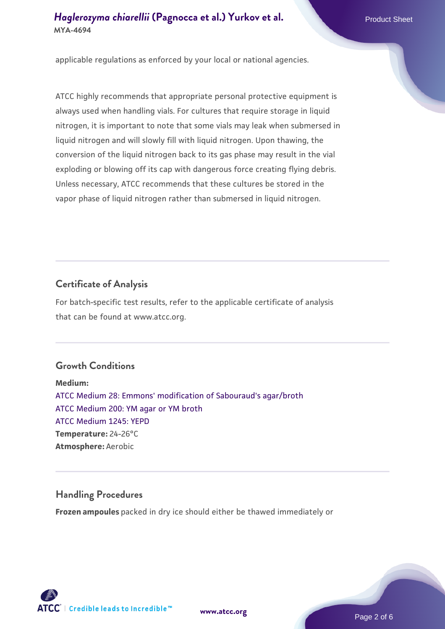applicable regulations as enforced by your local or national agencies.

ATCC highly recommends that appropriate personal protective equipment is always used when handling vials. For cultures that require storage in liquid nitrogen, it is important to note that some vials may leak when submersed in liquid nitrogen and will slowly fill with liquid nitrogen. Upon thawing, the conversion of the liquid nitrogen back to its gas phase may result in the vial exploding or blowing off its cap with dangerous force creating flying debris. Unless necessary, ATCC recommends that these cultures be stored in the vapor phase of liquid nitrogen rather than submersed in liquid nitrogen.

# **Certificate of Analysis**

For batch-specific test results, refer to the applicable certificate of analysis that can be found at www.atcc.org.

#### **Growth Conditions**

**Medium:**  [ATCC Medium 28: Emmons' modification of Sabouraud's agar/broth](https://www.atcc.org/-/media/product-assets/documents/microbial-media-formulations/2/8/atcc-medium-28.pdf?rev=0da0c58cc2a343eeae735016b70809bb) [ATCC Medium 200: YM agar or YM broth](https://www.atcc.org/-/media/product-assets/documents/microbial-media-formulations/2/0/0/atcc-medium-200.pdf?rev=ac40fd74dc13433a809367b0b9da30fc) [ATCC Medium 1245: YEPD](https://www.atcc.org/-/media/product-assets/documents/microbial-media-formulations/1/2/4/5/atcc-medium-1245.pdf?rev=705ca55d1b6f490a808a965d5c072196) **Temperature:** 24-26°C **Atmosphere:** Aerobic

# **Handling Procedures**

**Frozen ampoules** packed in dry ice should either be thawed immediately or



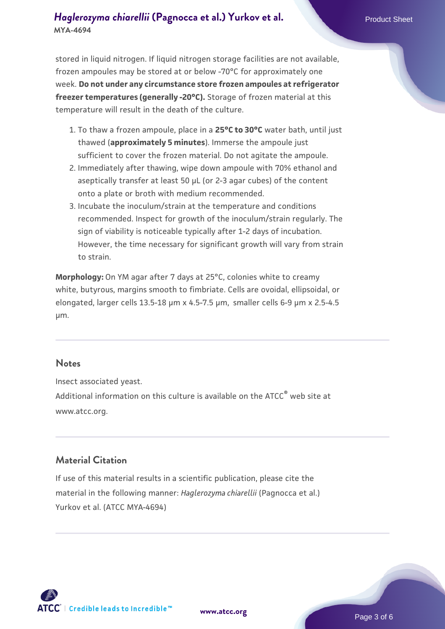stored in liquid nitrogen. If liquid nitrogen storage facilities are not available, frozen ampoules may be stored at or below -70°C for approximately one week. **Do not under any circumstance store frozen ampoules at refrigerator freezer temperatures (generally -20°C).** Storage of frozen material at this temperature will result in the death of the culture.

- 1. To thaw a frozen ampoule, place in a **25°C to 30°C** water bath, until just thawed (**approximately 5 minutes**). Immerse the ampoule just sufficient to cover the frozen material. Do not agitate the ampoule.
- 2. Immediately after thawing, wipe down ampoule with 70% ethanol and aseptically transfer at least 50 µL (or 2-3 agar cubes) of the content onto a plate or broth with medium recommended.
- 3. Incubate the inoculum/strain at the temperature and conditions recommended. Inspect for growth of the inoculum/strain regularly. The sign of viability is noticeable typically after 1-2 days of incubation. However, the time necessary for significant growth will vary from strain to strain.

**Morphology:** On YM agar after 7 days at 25°C, colonies white to creamy white, butyrous, margins smooth to fimbriate. Cells are ovoidal, ellipsoidal, or elongated, larger cells 13.5-18 µm x 4.5-7.5 µm, smaller cells 6-9 µm x 2.5-4.5 µm.

#### **Notes**

Insect associated yeast. Additional information on this culture is available on the ATCC<sup>®</sup> web site at www.atcc.org.

#### **Material Citation**

If use of this material results in a scientific publication, please cite the material in the following manner: *Haglerozyma chiarellii* (Pagnocca et al.) Yurkov et al. (ATCC MYA-4694)



**[www.atcc.org](http://www.atcc.org)**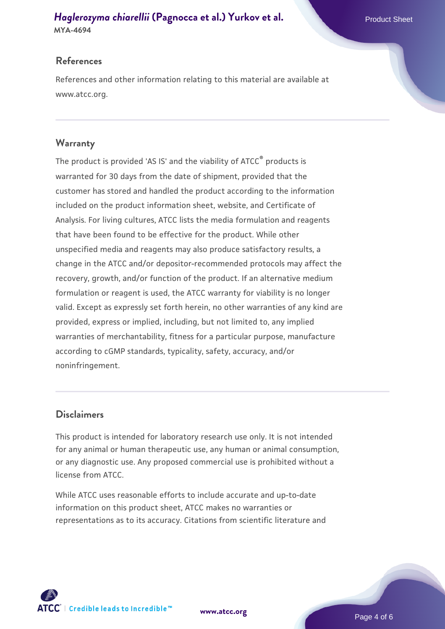## **References**

References and other information relating to this material are available at www.atcc.org.

## **Warranty**

The product is provided 'AS IS' and the viability of ATCC® products is warranted for 30 days from the date of shipment, provided that the customer has stored and handled the product according to the information included on the product information sheet, website, and Certificate of Analysis. For living cultures, ATCC lists the media formulation and reagents that have been found to be effective for the product. While other unspecified media and reagents may also produce satisfactory results, a change in the ATCC and/or depositor-recommended protocols may affect the recovery, growth, and/or function of the product. If an alternative medium formulation or reagent is used, the ATCC warranty for viability is no longer valid. Except as expressly set forth herein, no other warranties of any kind are provided, express or implied, including, but not limited to, any implied warranties of merchantability, fitness for a particular purpose, manufacture according to cGMP standards, typicality, safety, accuracy, and/or noninfringement.

## **Disclaimers**

This product is intended for laboratory research use only. It is not intended for any animal or human therapeutic use, any human or animal consumption, or any diagnostic use. Any proposed commercial use is prohibited without a license from ATCC.

While ATCC uses reasonable efforts to include accurate and up-to-date information on this product sheet, ATCC makes no warranties or representations as to its accuracy. Citations from scientific literature and

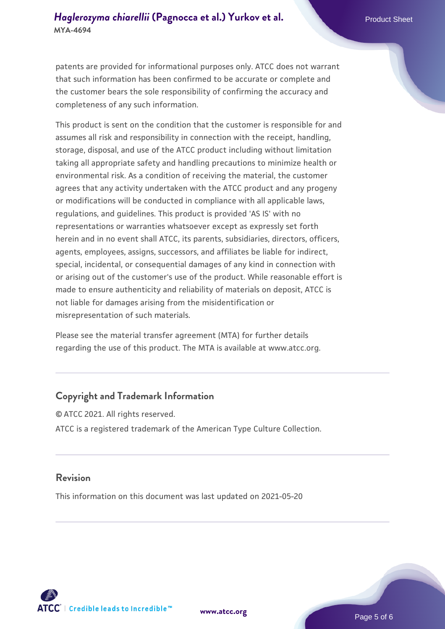patents are provided for informational purposes only. ATCC does not warrant that such information has been confirmed to be accurate or complete and the customer bears the sole responsibility of confirming the accuracy and completeness of any such information.

This product is sent on the condition that the customer is responsible for and assumes all risk and responsibility in connection with the receipt, handling, storage, disposal, and use of the ATCC product including without limitation taking all appropriate safety and handling precautions to minimize health or environmental risk. As a condition of receiving the material, the customer agrees that any activity undertaken with the ATCC product and any progeny or modifications will be conducted in compliance with all applicable laws, regulations, and guidelines. This product is provided 'AS IS' with no representations or warranties whatsoever except as expressly set forth herein and in no event shall ATCC, its parents, subsidiaries, directors, officers, agents, employees, assigns, successors, and affiliates be liable for indirect, special, incidental, or consequential damages of any kind in connection with or arising out of the customer's use of the product. While reasonable effort is made to ensure authenticity and reliability of materials on deposit, ATCC is not liable for damages arising from the misidentification or misrepresentation of such materials.

Please see the material transfer agreement (MTA) for further details regarding the use of this product. The MTA is available at www.atcc.org.

#### **Copyright and Trademark Information**

© ATCC 2021. All rights reserved. ATCC is a registered trademark of the American Type Culture Collection.

#### **Revision**

This information on this document was last updated on 2021-05-20



**[www.atcc.org](http://www.atcc.org)**

Page 5 of 6